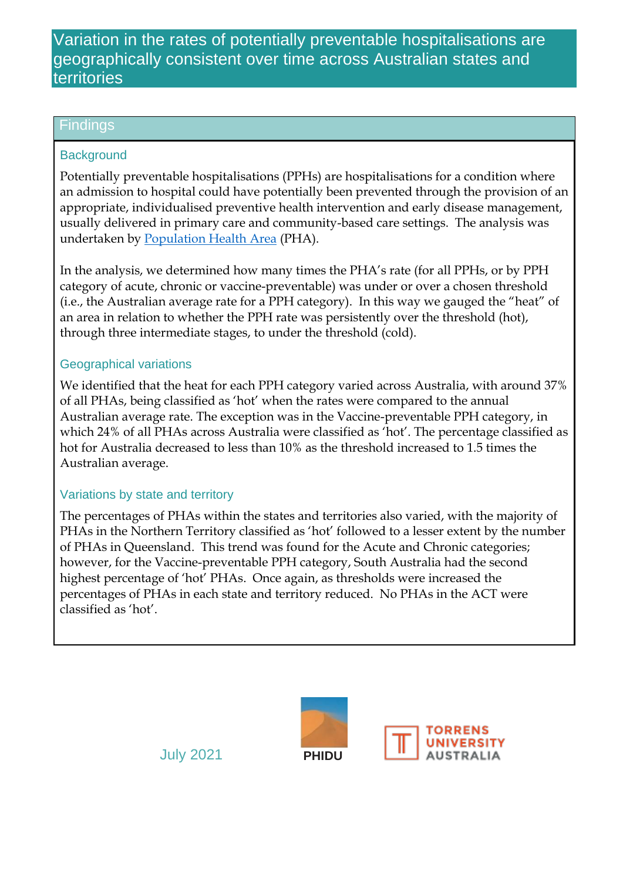# Variation in the rates of potentially preventable hospitalisations are geographically consistent over time across Australian states and territories

### **Findings**

### **Background**

Potentially preventable hospitalisations (PPHs) are hospitalisations for a condition where an admission to hospital could have potentially been prevented through the provision of an appropriate, individualised preventive health intervention and early disease management, usually delivered in primary care and community-based care settings. The analysis was undertaken by [Population Health Area](https://phidu.torrens.edu.au/help-and-information/about-our-data/geographical-structures) (PHA).

In the analysis, we determined how many times the PHA's rate (for all PPHs, or by PPH category of acute, chronic or vaccine-preventable) was under or over a chosen threshold (i.e., the Australian average rate for a PPH category). In this way we gauged the "heat" of an area in relation to whether the PPH rate was persistently over the threshold (hot), through three intermediate stages, to under the threshold (cold).

## Geographical variations

We identified that the heat for each PPH category varied across Australia, with around 37% of all PHAs, being classified as 'hot' when the rates were compared to the annual Australian average rate. The exception was in the Vaccine-preventable PPH category, in which 24% of all PHAs across Australia were classified as 'hot'. The percentage classified as hot for Australia decreased to less than 10% as the threshold increased to 1.5 times the Australian average.

#### Variations by state and territory

The percentages of PHAs within the states and territories also varied, with the majority of PHAs in the Northern Territory classified as 'hot' followed to a lesser extent by the number of PHAs in Queensland. This trend was found for the Acute and Chronic categories; however, for the Vaccine-preventable PPH category, South Australia had the second highest percentage of 'hot' PHAs. Once again, as thresholds were increased the percentages of PHAs in each state and territory reduced. No PHAs in the ACT were classified as 'hot'.





July 2021 **PHIDU**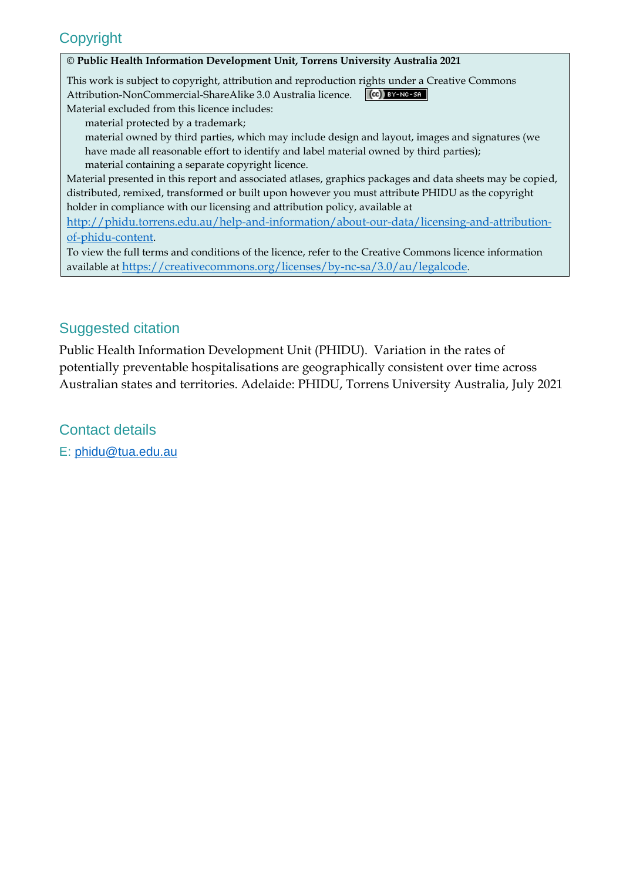# **Copyright**

#### **© Public Health Information Development Unit, Torrens University Australia 2021**

This work is subject to copyright, attribution and reproduction rights under a Creative Commons Attribution-NonCommercial-ShareAlike 3.0 Australia licence.  $(C<sub>c</sub>)$  BY-NC-SA Material excluded from this licence includes:

material protected by a trademark;

 material owned by third parties, which may include design and layout, images and signatures (we have made all reasonable effort to identify and label material owned by third parties); material containing a separate copyright licence.

Material presented in this report and associated atlases, graphics packages and data sheets may be copied, distributed, remixed, transformed or built upon however you must attribute PHIDU as the copyright holder in compliance with our licensing and attribution policy, available at

[http://phidu.torrens.edu.au/help-and-information/about-our-data/licensing-and-attribution](http://phidu.torrens.edu.au/help-and-information/about-our-data/licensing-and-attribution-of-phidu-content)[of-phidu-content](http://phidu.torrens.edu.au/help-and-information/about-our-data/licensing-and-attribution-of-phidu-content).

To view the full terms and conditions of the licence, refer to the Creative Commons licence information available at <https://creativecommons.org/licenses/by-nc-sa/3.0/au/legalcode>.

## Suggested citation

Public Health Information Development Unit (PHIDU). Variation in the rates of potentially preventable hospitalisations are geographically consistent over time across Australian states and territories. Adelaide: PHIDU, Torrens University Australia, July 2021

Contact details

E: [phidu@tua.edu.au](mailto:phidu@tua.edu.au)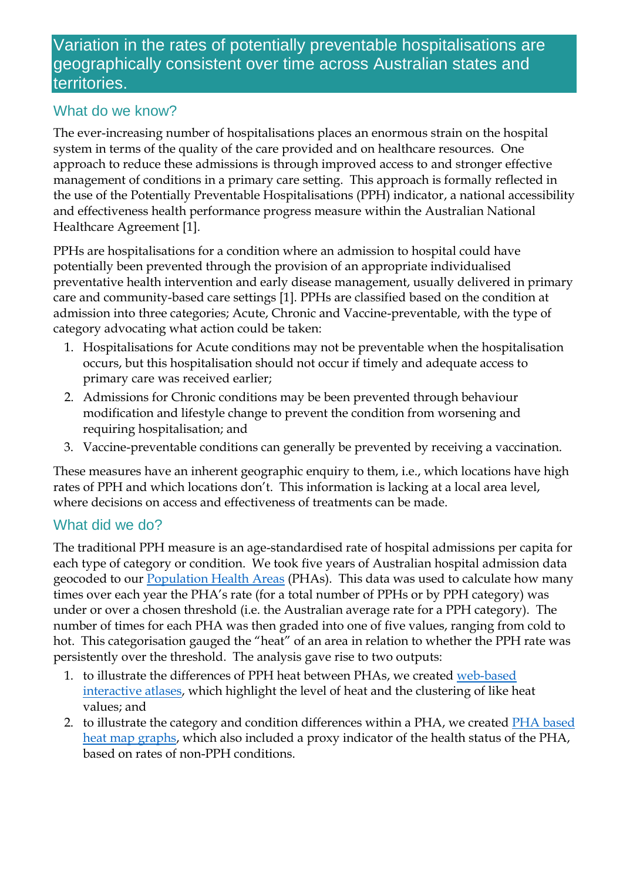# Variation in the rates of potentially preventable hospitalisations are geographically consistent over time across Australian states and territories.

## What do we know?

The ever-increasing number of hospitalisations places an enormous strain on the hospital system in terms of the quality of the care provided and on healthcare resources. One approach to reduce these admissions is through improved access to and stronger effective management of conditions in a primary care setting. This approach is formally reflected in the use of the Potentially Preventable Hospitalisations (PPH) indicator, a national accessibility and effectiveness health performance progress measure within the Australian National Healthcare Agreement [1].

PPHs are hospitalisations for a condition where an admission to hospital could have potentially been prevented through the provision of an appropriate individualised preventative health intervention and early disease management, usually delivered in primary care and community-based care settings [1]. PPHs are classified based on the condition at admission into three categories; Acute, Chronic and Vaccine-preventable, with the type of category advocating what action could be taken:

- 1. Hospitalisations for Acute conditions may not be preventable when the hospitalisation occurs, but this hospitalisation should not occur if timely and adequate access to primary care was received earlier;
- 2. Admissions for Chronic conditions may be been prevented through behaviour modification and lifestyle change to prevent the condition from worsening and requiring hospitalisation; and
- 3. Vaccine-preventable conditions can generally be prevented by receiving a vaccination.

These measures have an inherent geographic enquiry to them, i.e., which locations have high rates of PPH and which locations don't. This information is lacking at a local area level, where decisions on access and effectiveness of treatments can be made.

## What did we do?

The traditional PPH measure is an age-standardised rate of hospital admissions per capita for each type of category or condition. We took five years of Australian hospital admission data geocoded to our [Population Health Areas](https://phidu.torrens.edu.au/help-and-information/about-our-data/geographical-structures) (PHAs). This data was used to calculate how many times over each year the PHA's rate (for a total number of PPHs or by PPH category) was under or over a chosen threshold (i.e. the Australian average rate for a PPH category). The number of times for each PHA was then graded into one of five values, ranging from cold to hot. This categorisation gauged the "heat" of an area in relation to whether the PPH rate was persistently over the threshold. The analysis gave rise to two outputs:

- 1. to illustrate the differences of PPH heat between PHAs, we created [web-based](https://phidu.torrens.edu.au/social-health-atlases/topic-atlas/pph)  [interactive atlases,](https://phidu.torrens.edu.au/social-health-atlases/topic-atlas/pph) which highlight the level of heat and the clustering of like heat values; and
- 2. to illustrate the category and condition differences within a PHA, we created [PHA based](https://phidu.torrens.edu.au/social-health-atlases/topic-atlas/pph#using-the-atlas)  [heat map graphs,](https://phidu.torrens.edu.au/social-health-atlases/topic-atlas/pph#using-the-atlas) which also included a proxy indicator of the health status of the PHA, based on rates of non-PPH conditions.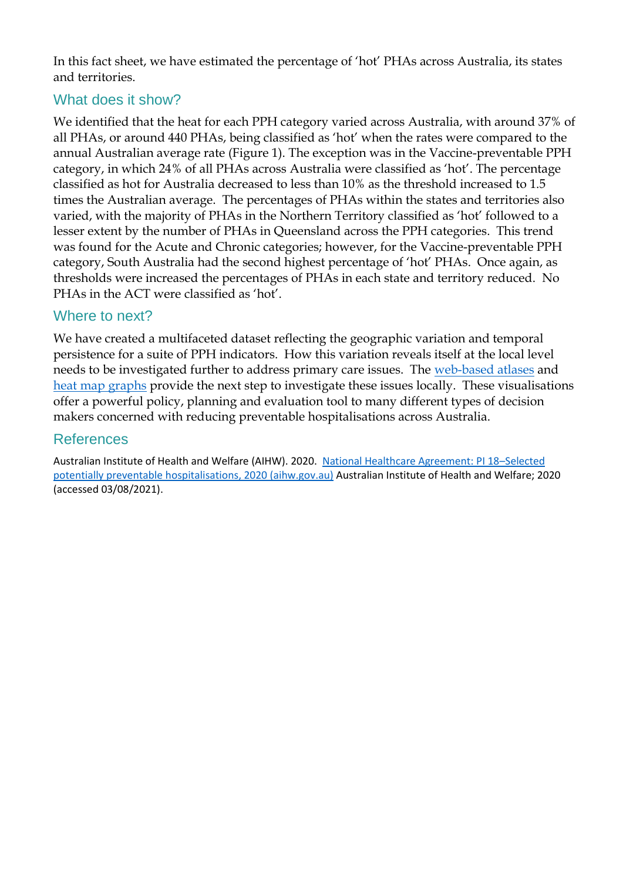In this fact sheet, we have estimated the percentage of 'hot' PHAs across Australia, its states and territories.

## What does it show?

We identified that the heat for each PPH category varied across Australia, with around 37% of all PHAs, or around 440 PHAs, being classified as 'hot' when the rates were compared to the annual Australian average rate (Figure 1). The exception was in the Vaccine-preventable PPH category, in which 24% of all PHAs across Australia were classified as 'hot'. The percentage classified as hot for Australia decreased to less than 10% as the threshold increased to 1.5 times the Australian average. The percentages of PHAs within the states and territories also varied, with the majority of PHAs in the Northern Territory classified as 'hot' followed to a lesser extent by the number of PHAs in Queensland across the PPH categories. This trend was found for the Acute and Chronic categories; however, for the Vaccine-preventable PPH category, South Australia had the second highest percentage of 'hot' PHAs. Once again, as thresholds were increased the percentages of PHAs in each state and territory reduced. No PHAs in the ACT were classified as 'hot'.

## Where to next?

We have created a multifaceted dataset reflecting the geographic variation and temporal persistence for a suite of PPH indicators. How this variation reveals itself at the local level needs to be investigated further to address primary care issues. The [web-based atlases](https://phidu.torrens.edu.au/social-health-atlases/topic-atlas/pph) and [heat map graphs](https://phidu.torrens.edu.au/social-health-atlases/topic-atlas/pph#using-the-atlas) provide the next step to investigate these issues locally. These visualisations offer a powerful policy, planning and evaluation tool to many different types of decision makers concerned with reducing preventable hospitalisations across Australia.

## References

Australian Institute of Health and Welfare (AIHW). 2020. [National Healthcare Agreement: PI 18](https://meteor.aihw.gov.au/content/index.phtml/itemId/716530)–Selected [potentially preventable hospitalisations, 2020 \(aihw.gov.au\)](https://meteor.aihw.gov.au/content/index.phtml/itemId/716530) Australian Institute of Health and Welfare; 2020 (accessed 03/08/2021).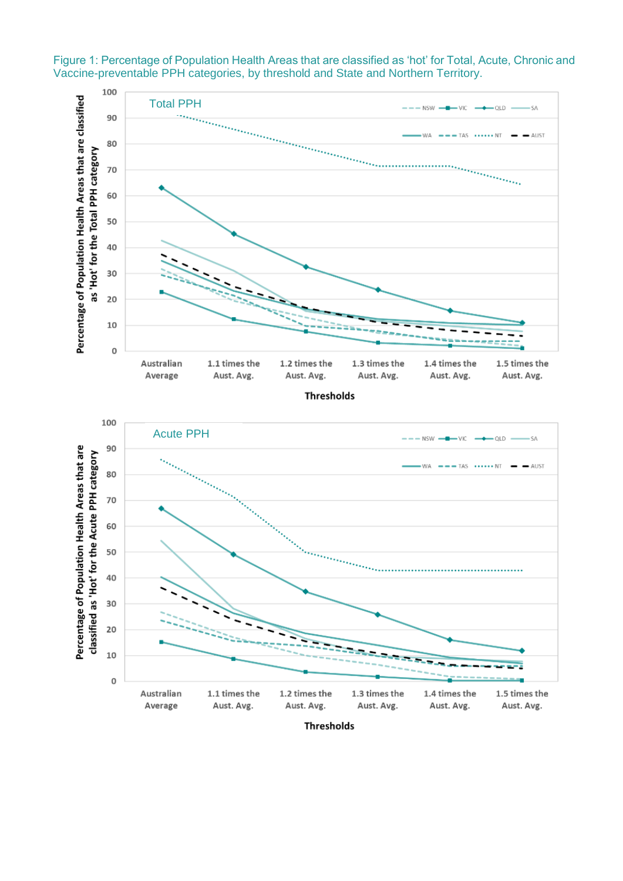

Figure 1: Percentage of Population Health Areas that are classified as 'hot' for Total, Acute, Chronic and Vaccine-preventable PPH categories, by threshold and State and Northern Territory.

**Thresholds**